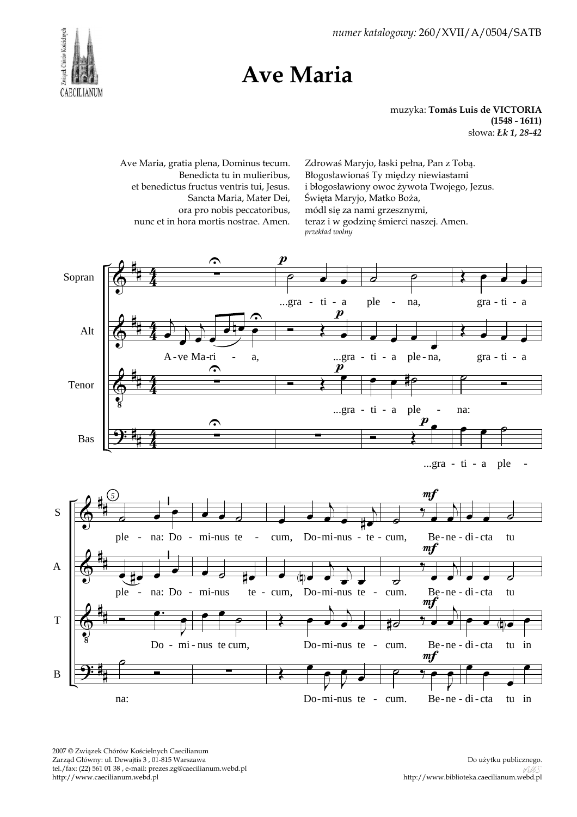2007 © Związek Chórów Kościelnych Caecilianum Zarząd Główny: ul. Dewajtis 3 , 01-815 Warszawa tel./fax: (22) 561 01 38 , e-mail: prezes.zg@caecilianum.webd.pl http://www.caecilianum.webd.pl



**Ave Maria**



## muzyka: **Tomás Luis de VICTORIA**

Zdrowaś Maryjo, łaski pełna, Pan z Tobą. Błogosławionaś Ty między niewiastami

**(1548 - 1611)** słowa: *Łk 1, 28-42*

*numer katalogowy:* 260/XVII/A/0504/SATB

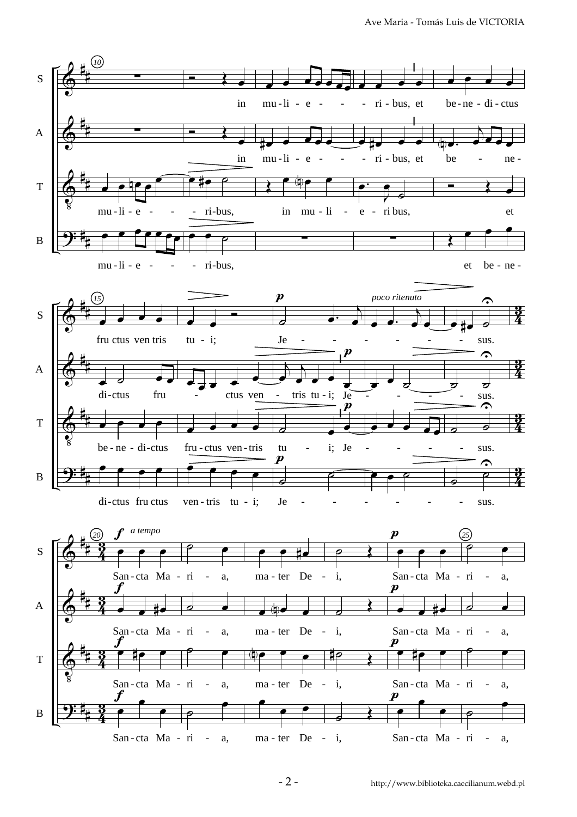